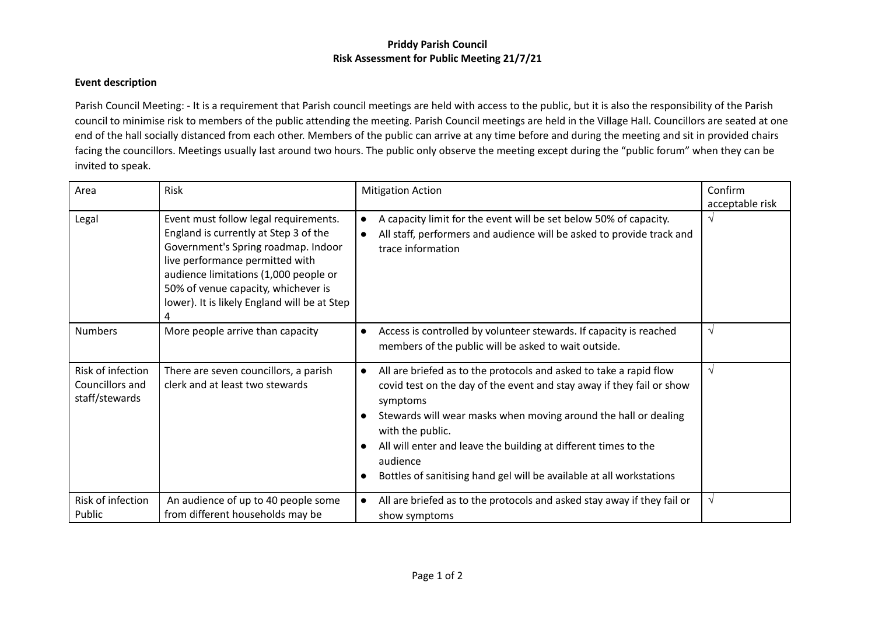## **Priddy Parish Council Risk Assessment for Public Meeting 21/7/21**

## **Event description**

Parish Council Meeting: - It is a requirement that Parish council meetings are held with access to the public, but it is also the responsibility of the Parish council to minimise risk to members of the public attending the meeting. Parish Council meetings are held in the Village Hall. Councillors are seated at one end of the hall socially distanced from each other. Members of the public can arrive at any time before and during the meeting and sit in provided chairs facing the councillors. Meetings usually last around two hours. The public only observe the meeting except during the "public forum" when they can be invited to speak.

| Area                                                   | Risk                                                                                                                                                                                                                                                                                     | <b>Mitigation Action</b>                                                                                                                                                                                                                                                                                                                                                                                                        | Confirm              |
|--------------------------------------------------------|------------------------------------------------------------------------------------------------------------------------------------------------------------------------------------------------------------------------------------------------------------------------------------------|---------------------------------------------------------------------------------------------------------------------------------------------------------------------------------------------------------------------------------------------------------------------------------------------------------------------------------------------------------------------------------------------------------------------------------|----------------------|
| Legal                                                  | Event must follow legal requirements.<br>England is currently at Step 3 of the<br>Government's Spring roadmap. Indoor<br>live performance permitted with<br>audience limitations (1,000 people or<br>50% of venue capacity, whichever is<br>lower). It is likely England will be at Step | A capacity limit for the event will be set below 50% of capacity.<br>$\bullet$<br>All staff, performers and audience will be asked to provide track and<br>$\bullet$<br>trace information                                                                                                                                                                                                                                       | acceptable risk<br>V |
| <b>Numbers</b>                                         | More people arrive than capacity                                                                                                                                                                                                                                                         | Access is controlled by volunteer stewards. If capacity is reached<br>$\bullet$<br>members of the public will be asked to wait outside.                                                                                                                                                                                                                                                                                         | $\sqrt{ }$           |
| Risk of infection<br>Councillors and<br>staff/stewards | There are seven councillors, a parish<br>clerk and at least two stewards                                                                                                                                                                                                                 | All are briefed as to the protocols and asked to take a rapid flow<br>$\bullet$<br>covid test on the day of the event and stay away if they fail or show<br>symptoms<br>Stewards will wear masks when moving around the hall or dealing<br>with the public.<br>All will enter and leave the building at different times to the<br>$\bullet$<br>audience<br>Bottles of sanitising hand gel will be available at all workstations | $\sqrt{ }$           |
| Risk of infection<br>Public                            | An audience of up to 40 people some<br>from different households may be                                                                                                                                                                                                                  | All are briefed as to the protocols and asked stay away if they fail or<br>$\bullet$<br>show symptoms                                                                                                                                                                                                                                                                                                                           | $\sqrt{ }$           |